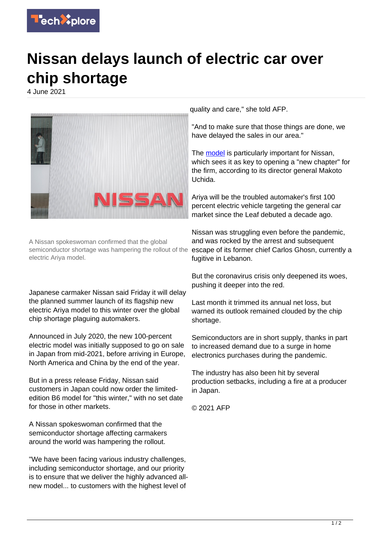

## **Nissan delays launch of electric car over chip shortage**

4 June 2021



A Nissan spokeswoman confirmed that the global semiconductor shortage was hampering the rollout of the electric Ariya model.

Japanese carmaker Nissan said Friday it will delay the planned summer launch of its flagship new electric Ariya model to this winter over the global chip shortage plaguing automakers.

Announced in July 2020, the new 100-percent electric model was initially supposed to go on sale in Japan from mid-2021, before arriving in Europe, North America and China by the end of the year.

But in a press release Friday, Nissan said customers in Japan could now order the limitededition B6 model for "this winter," with no set date for those in other markets.

A Nissan spokeswoman confirmed that the semiconductor shortage affecting carmakers around the world was hampering the rollout.

"We have been facing various industry challenges, including semiconductor shortage, and our priority is to ensure that we deliver the highly advanced allnew model... to customers with the highest level of

quality and care," she told AFP.

"And to make sure that those things are done, we have delayed the sales in our area."

The [model](https://techxplore.com/tags/model/) is particularly important for Nissan, which sees it as key to opening a "new chapter" for the firm, according to its director general Makoto Uchida.

Ariya will be the troubled automaker's first 100 percent electric vehicle targeting the general car market since the Leaf debuted a decade ago.

Nissan was struggling even before the pandemic, and was rocked by the arrest and subsequent escape of its former chief Carlos Ghosn, currently a fugitive in Lebanon.

But the coronavirus crisis only deepened its woes, pushing it deeper into the red.

Last month it trimmed its annual net loss, but warned its outlook remained clouded by the chip shortage.

Semiconductors are in short supply, thanks in part to increased demand due to a surge in home electronics purchases during the pandemic.

The industry has also been hit by several production setbacks, including a fire at a producer in Japan.

© 2021 AFP